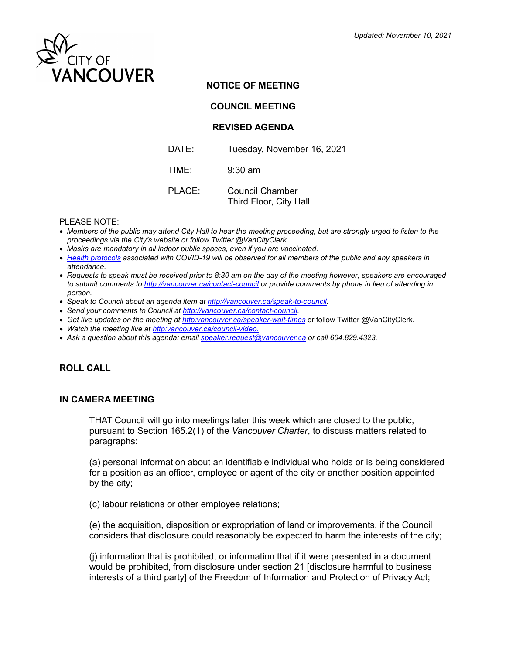

## **NOTICE OF MEETING**

**COUNCIL MEETING**

### **REVISED AGENDA**

| DATE:  | Tuesday, November 16, 2021                |
|--------|-------------------------------------------|
| TIME:  | $9:30$ am                                 |
| PLACE: | Council Chamber<br>Third Floor, City Hall |

#### PLEASE NOTE:

- *Members of the public may attend City Hall to hear the meeting proceeding, but are strongly urged to listen to the proceedings via the City's website or follow Twitter @VanCityClerk.*
- *Masks are mandatory in all indoor public spaces, even if you are vaccinated.*
- *[Health protocols](https://vancouver.ca/home-property-development/covid-19-coronavirus-within-vancouver.aspx?utm_campaign=covid19&utm_medium=Vanity&utm_source=covid19_Vanity#what-you-can-do) associated with COVID-19 will be observed for all members of the public and any speakers in attendance.*
- *Requests to speak must be received prior to 8:30 am on the day of the meeting however, speakers are encouraged to submit comments to<http://vancouver.ca/contact-council> or provide comments by phone in lieu of attending in person.*
- *Speak to Council about an agenda item at [http://vancouver.ca/speak-to-council.](http://vancouver.ca/speak-to-council)*
- *Send your comments to Council at [http://vancouver.ca/contact-council.](http://vancouver.ca/contact-council)*
- *Get live updates on the meeting a[t http:vancouver.ca/speaker-wait-times](http://vancouver.ca/your-government/speak-at-city-council-meetings.aspx)* or follow Twitter @VanCityClerk*.*
- *Watch the meeting live a[t http:vancouver.ca/council-video.](https://vancouver.ca/councilvideo/cityofvancouver/watchnow)*
- *Ask a question about this agenda: email [speaker.request@vancouver.ca](mailto:speaker.request@vancouver.ca) or call 604.829.4323.*

# **ROLL CALL**

#### **IN CAMERA MEETING**

THAT Council will go into meetings later this week which are closed to the public, pursuant to Section 165.2(1) of the *Vancouver Charter*, to discuss matters related to paragraphs:

(a) personal information about an identifiable individual who holds or is being considered for a position as an officer, employee or agent of the city or another position appointed by the city;

(c) labour relations or other employee relations;

(e) the acquisition, disposition or expropriation of land or improvements, if the Council considers that disclosure could reasonably be expected to harm the interests of the city;

(j) information that is prohibited, or information that if it were presented in a document would be prohibited, from disclosure under section 21 [disclosure harmful to business interests of a third party] of the Freedom of Information and Protection of Privacy Act;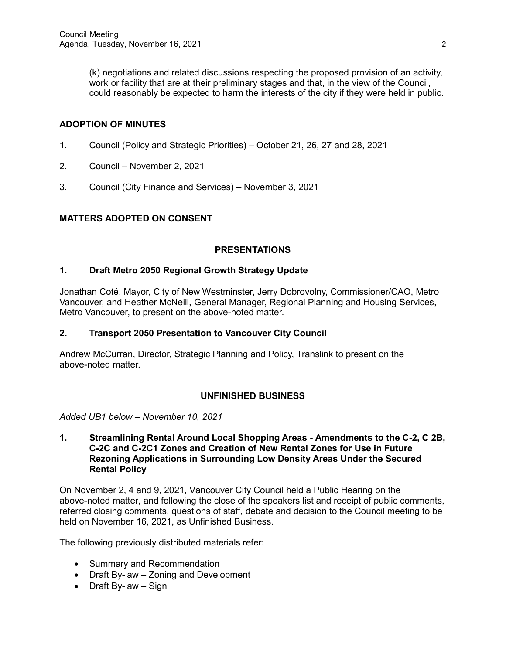(k) negotiations and related discussions respecting the proposed provision of an activity, work or facility that are at their preliminary stages and that, in the view of the Council, could reasonably be expected to harm the interests of the city if they were held in public.

# **ADOPTION OF MINUTES**

- 1. Council (Policy and Strategic Priorities) October 21, 26, 27 and 28, 2021
- 2. Council November 2, 2021
- 3. Council (City Finance and Services) November 3, 2021

## **MATTERS ADOPTED ON CONSENT**

### **PRESENTATIONS**

### **1. Draft Metro 2050 Regional Growth Strategy Update**

Jonathan Coté, Mayor, City of New Westminster, Jerry Dobrovolny, Commissioner/CAO, Metro Vancouver, and Heather McNeill, General Manager, Regional Planning and Housing Services, Metro Vancouver, to present on the above-noted matter.

### **2. Transport 2050 Presentation to Vancouver City Council**

Andrew McCurran, Director, Strategic Planning and Policy, Translink to present on the above-noted matter.

### **UNFINISHED BUSINESS**

*Added UB1 below – November 10, 2021*

#### **1. Streamlining Rental Around Local Shopping Areas - Amendments to the C-2, C 2B, C-2C and C-2C1 Zones and Creation of New Rental Zones for Use in Future Rezoning Applications in Surrounding Low Density Areas Under the Secured Rental Policy**

On November 2, 4 and 9, 2021, Vancouver City Council held a Public Hearing on the above-noted matter, and following the close of the speakers list and receipt of public comments, referred closing comments, questions of staff, debate and decision to the Council meeting to be held on November 16, 2021, as Unfinished Business.

The following previously distributed materials refer:

- Summary and Recommendation
- Draft By-law Zoning and Development
- Draft By-law Sign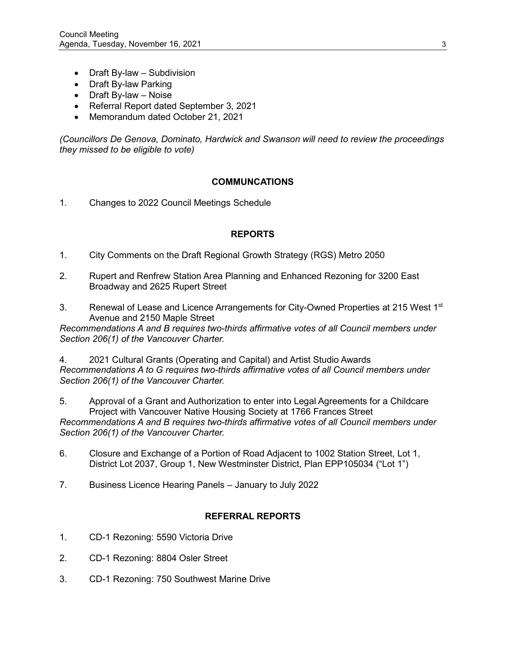- Draft By-law Subdivision
- Draft By-law Parking
- Draft By-law Noise
- Referral Report dated September 3, 2021
- Memorandum dated October 21, 2021

*(Councillors De Genova, Dominato, Hardwick and Swanson will need to review the proceedings they missed to be eligible to vote)*

### **COMMUNCATIONS**

1. Changes to 2022 Council Meetings Schedule

## **REPORTS**

- 1. City Comments on the Draft Regional Growth Strategy (RGS) Metro 2050
- 2. Rupert and Renfrew Station Area Planning and Enhanced Rezoning for 3200 East Broadway and 2625 Rupert Street
- 3. Renewal of Lease and Licence Arrangements for City-Owned Properties at 215 West 1st Avenue and 2150 Maple Street

*Recommendations A and B requires two-thirds affirmative votes of all Council members under Section 206(1) of the Vancouver Charter.*

4. 2021 Cultural Grants (Operating and Capital) and Artist Studio Awards *Recommendations A to G requires two-thirds affirmative votes of all Council members under Section 206(1) of the Vancouver Charter.*

5. Approval of a Grant and Authorization to enter into Legal Agreements for a Childcare Project with Vancouver Native Housing Society at 1766 Frances Street *Recommendations A and B requires two-thirds affirmative votes of all Council members under Section 206(1) of the Vancouver Charter.*

- 6. Closure and Exchange of a Portion of Road Adjacent to 1002 Station Street, Lot 1, District Lot 2037, Group 1, New Westminster District, Plan EPP105034 ("Lot 1")
- 7. Business Licence Hearing Panels January to July 2022

### **REFERRAL REPORTS**

- 1. CD-1 Rezoning: 5590 Victoria Drive
- 2. CD-1 Rezoning: 8804 Osler Street
- 3. CD-1 Rezoning: 750 Southwest Marine Drive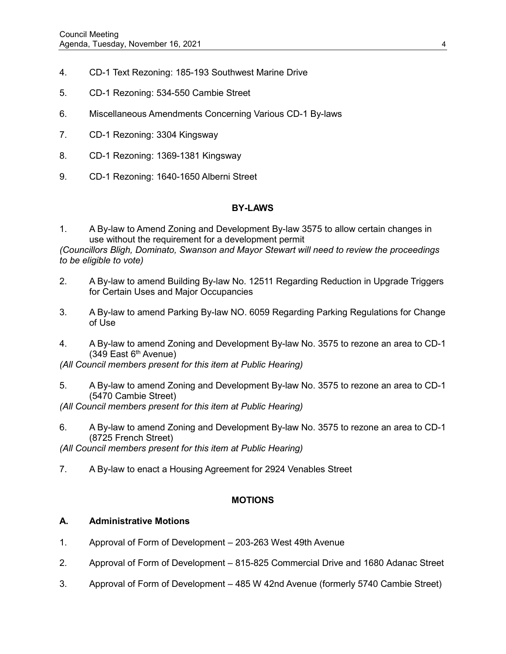- 4. CD-1 Text Rezoning: 185-193 Southwest Marine Drive
- 5. CD-1 Rezoning: 534-550 Cambie Street
- 6. Miscellaneous Amendments Concerning Various CD-1 By-laws
- 7. CD-1 Rezoning: 3304 Kingsway
- 8. CD-1 Rezoning: 1369-1381 Kingsway
- 9. CD-1 Rezoning: 1640-1650 Alberni Street

### **BY-LAWS**

1. A By-law to Amend Zoning and Development By-law 3575 to allow certain changes in use without the requirement for a development permit

*(Councillors Bligh, Dominato, Swanson and Mayor Stewart will need to review the proceedings to be eligible to vote)*

- 2. A By-law to amend Building By-law No. 12511 Regarding Reduction in Upgrade Triggers for Certain Uses and Major Occupancies
- 3. A By-law to amend Parking By-law NO. 6059 Regarding Parking Regulations for Change of Use
- 4. A By-law to amend Zoning and Development By-law No. 3575 to rezone an area to CD-1  $(349$  East 6<sup>th</sup> Avenue)

*(All Council members present for this item at Public Hearing)*

5. A By-law to amend Zoning and Development By-law No. 3575 to rezone an area to CD-1 (5470 Cambie Street)

*(All Council members present for this item at Public Hearing)*

6. A By-law to amend Zoning and Development By-law No. 3575 to rezone an area to CD-1 (8725 French Street)

*(All Council members present for this item at Public Hearing)*

7. A By-law to enact a Housing Agreement for 2924 Venables Street

### **MOTIONS**

### **A. Administrative Motions**

- 1. Approval of Form of Development 203-263 West 49th Avenue
- 2. Approval of Form of Development 815-825 Commercial Drive and 1680 Adanac Street
- 3. Approval of Form of Development 485 W 42nd Avenue (formerly 5740 Cambie Street)